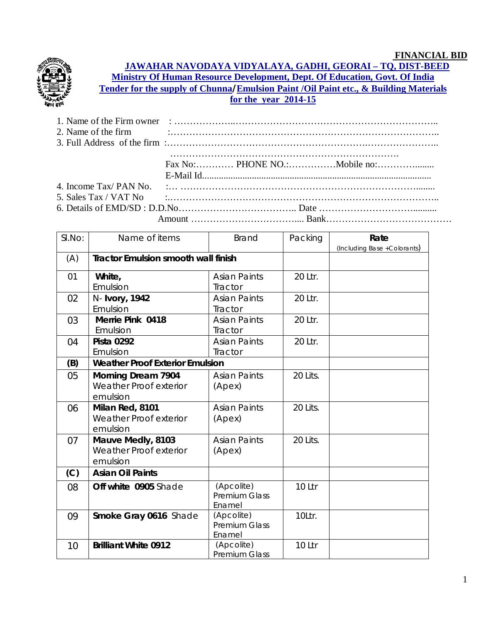

**JAWAHAR NAVODAYA VIDYALAYA, GADHI, GEORAI – TQ, DIST-BEED Ministry Of Human Resource Development, Dept. Of Education, Govt. Of India Tender for the supply of Chunna/Emulsion Paint /Oil Paint etc., & Building Materials for the year 2014-15**

|  | 3. Full Address of the firm $\ldots$ $\ldots$ $\ldots$ $\ldots$ $\ldots$ $\ldots$ $\ldots$ $\ldots$ $\ldots$ $\ldots$ $\ldots$ $\ldots$ $\ldots$ $\ldots$<br>5. Sales Tax / VAT No $\cdots$ $\cdots$ $\cdots$ $\cdots$ $\cdots$ $\cdots$ $\cdots$ $\cdots$ $\cdots$ $\cdots$ $\cdots$ $\cdots$ $\cdots$ $\cdots$ |
|--|------------------------------------------------------------------------------------------------------------------------------------------------------------------------------------------------------------------------------------------------------------------------------------------------------------------|

| SI.No:   | Name of items                                        | <b>Brand</b>                                                                                 | Packing          | Rate                         |
|----------|------------------------------------------------------|----------------------------------------------------------------------------------------------|------------------|------------------------------|
|          |                                                      |                                                                                              |                  | (Including Base + Colorants) |
| (A)      | <b>Tractor Emulsion smooth wall finish</b>           |                                                                                              |                  |                              |
| 01       | White,                                               | <b>Asian Paints</b>                                                                          | 20 Ltr.          |                              |
|          | Emulsion                                             | Tractor                                                                                      |                  |                              |
| 02       | N- Ivory, 1942                                       | <b>Asian Paints</b>                                                                          | 20 Ltr.          |                              |
|          | Emulsion                                             | Tractor                                                                                      |                  |                              |
| 03       | <b>Merrie Pink 0418</b>                              | <b>Asian Paints</b>                                                                          | 20 Ltr.          |                              |
|          | Emulsion                                             | Tractor                                                                                      |                  |                              |
| 04       | <b>Pista 0292</b>                                    | <b>Asian Paints</b>                                                                          | 20 Ltr.          |                              |
|          | Emulsion                                             | Tractor                                                                                      |                  |                              |
| (B)      | <b>Weather Proof Exterior Emulsion</b>               |                                                                                              |                  |                              |
| 05       | <b>Morning Dream 7904</b>                            | <b>Asian Paints</b>                                                                          | 20 Lits.         |                              |
|          | Weather Proof exterior                               | (Apex)                                                                                       |                  |                              |
|          | emulsion                                             |                                                                                              |                  |                              |
| 06       | Milan Red, 8101                                      | <b>Asian Paints</b>                                                                          | 20 Lits.         |                              |
|          | Weather Proof exterior                               | (Apex)                                                                                       |                  |                              |
|          | emulsion                                             |                                                                                              |                  |                              |
| 07       | Mauve Medly, 8103                                    | <b>Asian Paints</b>                                                                          | 20 Lits.         |                              |
|          | <b>Weather Proof exterior</b>                        | (Apex)                                                                                       |                  |                              |
|          | emulsion                                             |                                                                                              |                  |                              |
| (C)      | <b>Asian Oil Paints</b>                              |                                                                                              |                  |                              |
| 08       | Off white 0905 Shade                                 | (Apcolite)                                                                                   | 10 Ltr           |                              |
|          |                                                      | <b>Premium Glass</b>                                                                         |                  |                              |
|          |                                                      |                                                                                              |                  |                              |
|          |                                                      |                                                                                              |                  |                              |
|          |                                                      |                                                                                              |                  |                              |
|          |                                                      |                                                                                              |                  |                              |
|          |                                                      |                                                                                              |                  |                              |
| 09<br>10 | Smoke Gray 0616 Shade<br><b>Brilliant White 0912</b> | Enamel<br>(Apcolite)<br><b>Premium Glass</b><br>Enamel<br>(Apcolite)<br><b>Premium Glass</b> | 10Ltr.<br>10 Ltr |                              |